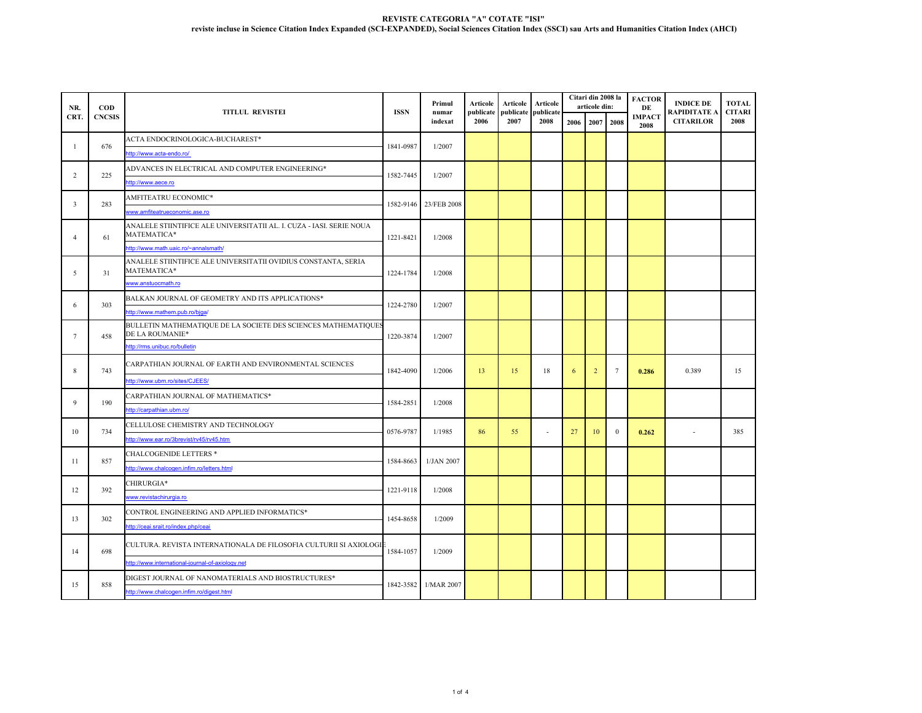| NR.                     | $\mathbf{COD}$<br><b>CNCSIS</b> | <b>TITLUL REVISTEI</b>                                                              | <b>ISSN</b>           | Primul<br>numar<br>indexat | Articole<br>publicate<br>2006 | <b>Articole</b><br>publicate<br>2007 | <b>Articole</b><br>publicate<br>2008 |      | Citari din 2008 la<br>articole din: |                 | <b>FACTOR</b><br>DE   | <b>INDICE DE</b><br>RAPIDITATE A | <b>TOTAL</b><br><b>CITARI</b> |
|-------------------------|---------------------------------|-------------------------------------------------------------------------------------|-----------------------|----------------------------|-------------------------------|--------------------------------------|--------------------------------------|------|-------------------------------------|-----------------|-----------------------|----------------------------------|-------------------------------|
| CRT.                    |                                 |                                                                                     |                       |                            |                               |                                      |                                      | 2006 | 2007                                | 2008            | <b>IMPACT</b><br>2008 | <b>CITARILOR</b>                 | 2008                          |
| $\overline{1}$          | 676                             | ACTA ENDOCRINOLOGICA-BUCHAREST*                                                     | 1841-0987             |                            |                               |                                      |                                      |      |                                     |                 |                       |                                  |                               |
|                         |                                 | ttp://www.acta-endo.ro/                                                             |                       | 1/2007                     |                               |                                      |                                      |      |                                     |                 |                       |                                  |                               |
| 2                       | 225                             | ADVANCES IN ELECTRICAL AND COMPUTER ENGINEERING*                                    |                       | 1/2007                     |                               |                                      |                                      |      |                                     |                 |                       |                                  |                               |
|                         |                                 | ttp://www.aece.ro                                                                   | 1582-7445             |                            |                               |                                      |                                      |      |                                     |                 |                       |                                  |                               |
| $\overline{\mathbf{3}}$ | 283                             | AMFITEATRU ECONOMIC*                                                                | 1582-9146 23/FEB 2008 |                            |                               |                                      |                                      |      |                                     |                 |                       |                                  |                               |
|                         |                                 | www.amfiteatrueconomic.ase.ro                                                       |                       |                            |                               |                                      |                                      |      |                                     |                 |                       |                                  |                               |
| $\overline{4}$          | 61                              | ANALELE STIINTIFICE ALE UNIVERSITATII AL. I. CUZA - IASI. SERIE NOUA<br>MATEMATICA* | 1221-8421             | 1/2008                     |                               |                                      |                                      |      |                                     |                 |                       |                                  |                               |
|                         |                                 | http://www.math.uaic.ro/~annalsmath/                                                |                       |                            |                               |                                      |                                      |      |                                     |                 |                       |                                  |                               |
| 5                       | 31                              | ANALELE STIINTIFICE ALE UNIVERSITATII OVIDIUS CONSTANTA, SERIA<br>MATEMATICA*       | 1224-1784             | 1/2008                     |                               |                                      |                                      |      |                                     |                 |                       |                                  |                               |
|                         |                                 | www.anstuocmath.ro                                                                  |                       |                            |                               |                                      |                                      |      |                                     |                 |                       |                                  |                               |
| 6                       | 303                             | BALKAN JOURNAL OF GEOMETRY AND ITS APPLICATIONS*                                    | 1224-2780             | 1/2007                     |                               |                                      |                                      |      |                                     |                 |                       |                                  |                               |
|                         |                                 | http://www.mathem.pub.ro/bjga/                                                      |                       |                            |                               |                                      |                                      |      |                                     |                 |                       |                                  |                               |
| $\tau$                  | 458                             | BULLETIN MATHEMATIQUE DE LA SOCIETE DES SCIENCES MATHEMATIQUES<br>DE LA ROUMANIE*   | 1220-3874             | 1/2007                     |                               |                                      |                                      |      |                                     |                 |                       |                                  |                               |
|                         |                                 | http://rms.unibuc.ro/bulletin                                                       |                       |                            |                               |                                      |                                      |      |                                     |                 |                       |                                  |                               |
| 8                       | 743                             | CARPATHIAN JOURNAL OF EARTH AND ENVIRONMENTAL SCIENCES                              | 1842-4090             | 1/2006                     | 13                            | 15                                   | 18                                   | 6    | $\overline{2}$                      | $7\phantom{.0}$ | 0.286                 | 0.389                            | 15                            |
|                         |                                 | ttp://www.ubm.ro/sites/CJEES/                                                       |                       |                            |                               |                                      |                                      |      |                                     |                 |                       |                                  |                               |
| 9                       | 190                             | CARPATHIAN JOURNAL OF MATHEMATICS*                                                  | 1584-2851             | 1/2008                     |                               |                                      |                                      |      |                                     |                 |                       |                                  |                               |
|                         |                                 | ttp://carpathian.ubm.ro/                                                            |                       |                            |                               |                                      |                                      |      |                                     |                 |                       |                                  |                               |
| 10                      | 734                             | CELLULOSE CHEMISTRY AND TECHNOLOGY                                                  | 0576-9787             | 1/1985                     | 86                            | 55                                   | $\overline{a}$                       | 27   | 10                                  | $\mathbf{0}$    | 0.262                 | $\overline{\phantom{a}}$         | 385                           |
|                         |                                 | ttp://www.ear.ro/3brevist/rv45/rv45.htm                                             |                       |                            |                               |                                      |                                      |      |                                     |                 |                       |                                  |                               |
| 11                      | 857                             | <b>CHALCOGENIDE LETTERS *</b>                                                       | 1584-8663             | 1/JAN 2007                 |                               |                                      |                                      |      |                                     |                 |                       |                                  |                               |
|                         |                                 | http://www.chalcogen.infim.ro/letters.html                                          |                       |                            |                               |                                      |                                      |      |                                     |                 |                       |                                  |                               |
| 12                      | 392                             | CHIRURGIA*                                                                          | 1221-9118             | 1/2008                     |                               |                                      |                                      |      |                                     |                 |                       |                                  |                               |
|                         |                                 | www.revistachirurgia.ro                                                             |                       |                            |                               |                                      |                                      |      |                                     |                 |                       |                                  |                               |
| 13                      | 302                             | CONTROL ENGINEERING AND APPLIED INFORMATICS*                                        | 1454-8658             | 1/2009                     |                               |                                      |                                      |      |                                     |                 |                       |                                  |                               |
|                         |                                 | ttp://ceai.srait.ro/index.php/ceai                                                  |                       |                            |                               |                                      |                                      |      |                                     |                 |                       |                                  |                               |
| 14                      | 698                             | CULTURA. REVISTA INTERNATIONALA DE FILOSOFIA CULTURII SI AXIOLOGI                   | 1584-1057             | 1/2009                     |                               |                                      |                                      |      |                                     |                 |                       |                                  |                               |
|                         |                                 | ttp://www.international-journal-of-axiology.net                                     |                       |                            |                               |                                      |                                      |      |                                     |                 |                       |                                  |                               |
| 15                      | 858                             | DIGEST JOURNAL OF NANOMATERIALS AND BIOSTRUCTURES*                                  |                       | 1842-3582 1/MAR 2007       |                               |                                      |                                      |      |                                     |                 |                       |                                  |                               |
|                         |                                 | http://www.chalcogen.infim.ro/digest.html                                           |                       |                            |                               |                                      |                                      |      |                                     |                 |                       |                                  |                               |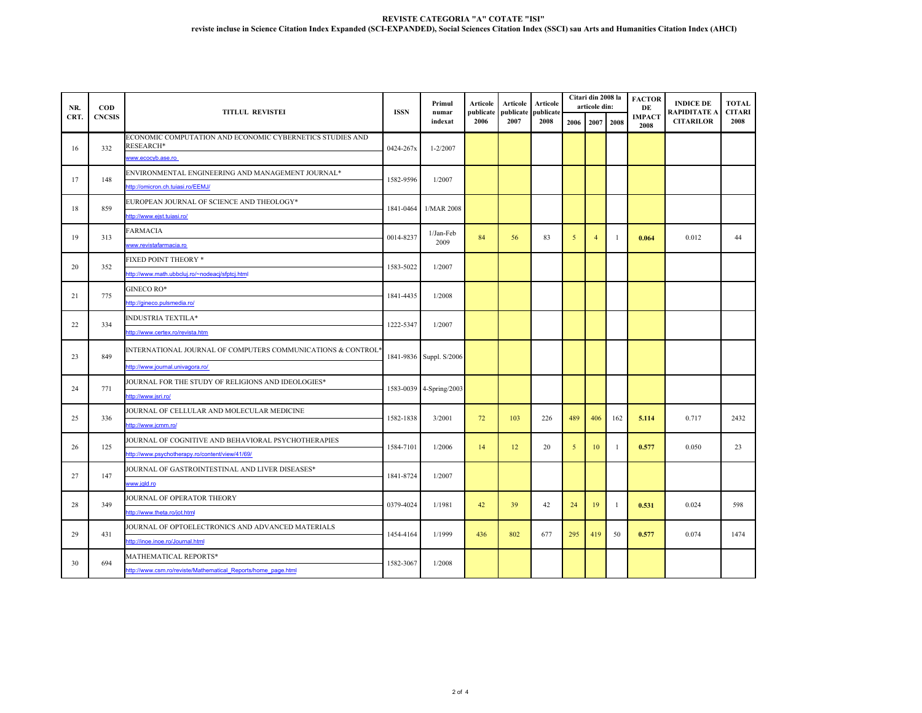| NR.  | <b>COD</b><br><b>CNCSIS</b> | <b>TITLUL REVISTEI</b>                                                 | <b>ISSN</b>             | Primul<br>numar<br>indexat | Articole<br>publicate<br>2006 | Articole<br>publicate<br>2007 | Articole<br>publicate<br>2008 |      | Citari din 2008 la<br>articole din: |                | <b>FACTOR</b><br>DE   | <b>INDICE DE</b><br>RAPIDITATE A | <b>TOTAL</b><br><b>CITARI</b> |
|------|-----------------------------|------------------------------------------------------------------------|-------------------------|----------------------------|-------------------------------|-------------------------------|-------------------------------|------|-------------------------------------|----------------|-----------------------|----------------------------------|-------------------------------|
| CRT. |                             |                                                                        |                         |                            |                               |                               |                               | 2006 | 2007 2008                           |                | <b>IMPACT</b><br>2008 | <b>CITARILOR</b>                 | 2008                          |
| 16   | 332                         | ECONOMIC COMPUTATION AND ECONOMIC CYBERNETICS STUDIES AND<br>RESEARCH* | 0424-267x               | $1 - 2/2007$               |                               |                               |                               |      |                                     |                |                       |                                  |                               |
|      |                             | www.ecocyb.ase.ro                                                      |                         |                            |                               |                               |                               |      |                                     |                |                       |                                  |                               |
|      |                             | ENVIRONMENTAL ENGINEERING AND MANAGEMENT JOURNAL*                      |                         |                            |                               |                               |                               |      |                                     |                |                       |                                  |                               |
| 17   | 148                         | ttp://omicron.ch.tujasi.ro/EEMJ/                                       | 1582-9596               | 1/2007                     |                               |                               |                               |      |                                     |                |                       |                                  |                               |
|      |                             | EUROPEAN JOURNAL OF SCIENCE AND THEOLOGY*                              |                         |                            |                               |                               |                               |      |                                     |                |                       |                                  |                               |
| 18   | 859                         | ttp://www.ejst.tuiasi.ro/                                              | 1841-0464               | 1/MAR 2008                 |                               |                               |                               |      |                                     |                |                       |                                  |                               |
| 19   |                             | FARMACIA                                                               |                         | 1/Jan-Feb                  | 84                            | 56                            | 83                            | 5    | $\overline{4}$                      | $\overline{1}$ |                       | 0.012                            |                               |
|      | 313                         | www.revistafarmacia.ro                                                 | 0014-8237               | 2009                       |                               |                               |                               |      |                                     |                | 0.064                 |                                  | 44                            |
|      | 352                         | FIXED POINT THEORY *                                                   | 1583-5022               | 1/2007                     |                               |                               |                               |      |                                     |                |                       |                                  |                               |
| 20   |                             | ttp://www.math.ubbcluj.ro/~nodeacj/sfptcj.html                         |                         |                            |                               |                               |                               |      |                                     |                |                       |                                  |                               |
|      | 775                         | GINECO RO*                                                             | 1841-4435               | 1/2008                     |                               |                               |                               |      |                                     |                |                       |                                  |                               |
| 21   |                             | ttp://gineco.pulsmedia.ro/                                             |                         |                            |                               |                               |                               |      |                                     |                |                       |                                  |                               |
| 22   | 334                         | INDUSTRIA TEXTILA*                                                     | 1222-5347               | 1/2007                     |                               |                               |                               |      |                                     |                |                       |                                  |                               |
|      |                             | ttp://www.certex.ro/revista.htm                                        |                         |                            |                               |                               |                               |      |                                     |                |                       |                                  |                               |
| 23   | 849                         | INTERNATIONAL JOURNAL OF COMPUTERS COMMUNICATIONS & CONTROL            |                         | 1841-9836 Suppl. S/2006    |                               |                               |                               |      |                                     |                |                       |                                  |                               |
|      |                             | http://www.journal.univagora.ro/                                       |                         |                            |                               |                               |                               |      |                                     |                |                       |                                  |                               |
| 24   |                             | JOURNAL FOR THE STUDY OF RELIGIONS AND IDEOLOGIES*                     | 1583-0039 4-Spring/2003 |                            |                               |                               |                               |      |                                     |                |                       |                                  |                               |
|      | 771                         | ttp://www.jsri.ro/                                                     |                         |                            |                               |                               |                               |      |                                     |                |                       |                                  |                               |
| 25   | 336                         | <b>JOURNAL OF CELLULAR AND MOLECULAR MEDICINE</b>                      | 1582-1838               | 3/2001                     | 72                            | 103                           | 226                           | 489  | 406                                 | 162            | 5.114                 | 0.717                            | 2432                          |
|      |                             | ttp://www.icmm.ro/                                                     |                         |                            |                               |                               |                               |      |                                     |                |                       |                                  |                               |
| 26   | 125                         | JOURNAL OF COGNITIVE AND BEHAVIORAL PSYCHOTHERAPIES                    | 1584-7101               | 1/2006                     | 14                            | 12                            | 20                            | 5    | 10                                  | $\overline{1}$ | 0.577                 | 0.050                            | 23                            |
|      |                             | /ttp://www.psychotherapy.ro/content/view/41/69                         |                         |                            |                               |                               |                               |      |                                     |                |                       |                                  |                               |
| 27   | 147                         | JOURNAL OF GASTROINTESTINAL AND LIVER DISEASES*                        | 1841-8724               | 1/2007                     |                               |                               |                               |      |                                     |                |                       |                                  |                               |
|      |                             | ww.jgld.ro                                                             |                         |                            |                               |                               |                               |      |                                     |                |                       |                                  |                               |
| 28   | 349                         | JOURNAL OF OPERATOR THEORY                                             | 0379-4024               | 1/1981                     | 42                            | 39                            | 42                            | 24   | 19                                  | $\overline{1}$ |                       | 0.024                            | 598                           |
|      |                             | ttp://www.theta.ro/iot.html                                            |                         |                            |                               |                               |                               |      |                                     |                | 0.531                 |                                  |                               |
| 29   | 431                         | JOURNAL OF OPTOELECTRONICS AND ADVANCED MATERIALS                      | 1454-4164               | 1/1999                     | 436                           | 802                           | 677                           | 295  | 419                                 | 50             | 0.577                 | 0.074                            | 1474                          |
|      |                             | ttp://inoe.inoe.ro/Journal.html                                        |                         |                            |                               |                               |                               |      |                                     |                |                       |                                  |                               |
| 30   | 694                         | MATHEMATICAL REPORTS*                                                  | 1582-3067               | 1/2008                     |                               |                               |                               |      |                                     |                |                       |                                  |                               |
|      |                             | ttp://www.csm.ro/reviste/Mathematical Reports/home page.html           |                         |                            |                               |                               |                               |      |                                     |                |                       |                                  |                               |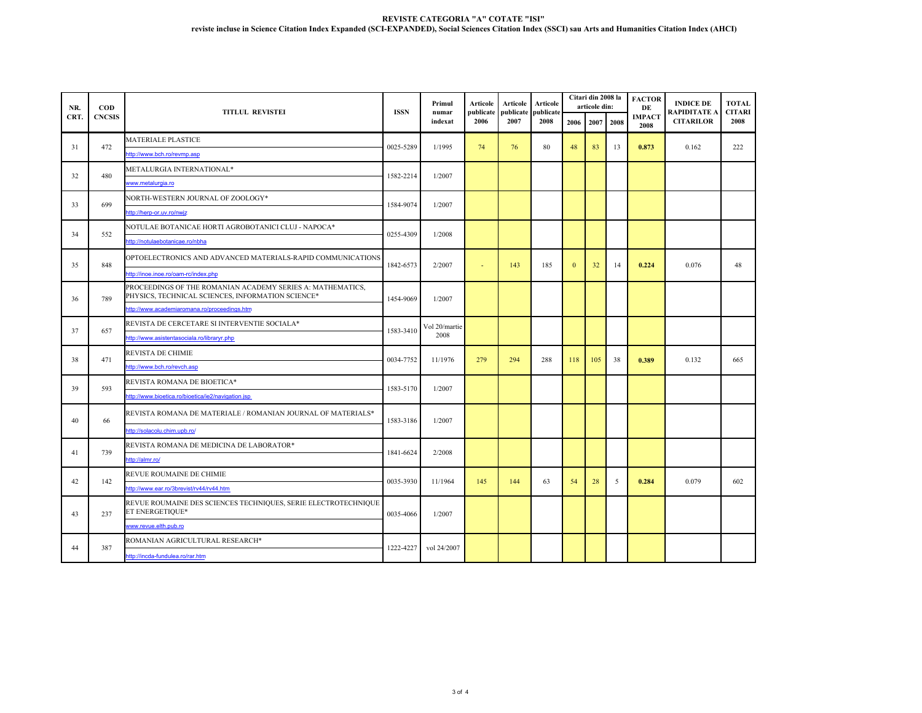| NR.  | $\mathbf{COD}$<br><b>CNCSIS</b> | <b>TITLUL REVISTEI</b>                                                                                          | <b>ISSN</b> | Primul<br>numar<br>indexat | Articole<br>publicate<br>2006 | Articole<br>publicate | Articole         |              | Citari din 2008 la<br>articole din: |      | <b>FACTOR</b><br>DE   | <b>INDICE DE</b><br>RAPIDITATE A<br><b>CITARILOR</b> | <b>TOTAL</b><br><b>CITARI</b><br>2008 |  |
|------|---------------------------------|-----------------------------------------------------------------------------------------------------------------|-------------|----------------------------|-------------------------------|-----------------------|------------------|--------------|-------------------------------------|------|-----------------------|------------------------------------------------------|---------------------------------------|--|
| CRT. |                                 |                                                                                                                 |             |                            |                               | 2007                  | publicat<br>2008 | 2006         | 2007                                | 2008 | <b>IMPACT</b><br>2008 |                                                      |                                       |  |
| 31   | 472                             | <b>MATERIALE PLASTICE</b>                                                                                       | 0025-5289   | 1/1995                     | 74                            | 76                    | 80               | 48           | 83                                  | 13   |                       | 0.162                                                | 222                                   |  |
|      |                                 | http://www.bch.ro/revmp.asp                                                                                     |             |                            |                               |                       |                  |              |                                     |      | 0.873                 |                                                      |                                       |  |
| 32   | 480                             | METALURGIA INTERNATIONAL*                                                                                       | 1582-2214   | 1/2007                     |                               |                       |                  |              |                                     |      |                       |                                                      |                                       |  |
|      |                                 | www.metalurgia.ro                                                                                               |             |                            |                               |                       |                  |              |                                     |      |                       |                                                      |                                       |  |
| 33   | 699                             | NORTH-WESTERN JOURNAL OF ZOOLOGY*                                                                               |             | 1/2007                     |                               |                       |                  |              |                                     |      |                       |                                                      |                                       |  |
|      |                                 | http://herp-or.uv.ro/nwjz                                                                                       | 1584-9074   |                            |                               |                       |                  |              |                                     |      |                       |                                                      |                                       |  |
| 34   | 552                             | NOTULAE BOTANICAE HORTI AGROBOTANICI CLUJ - NAPOCA*                                                             |             |                            |                               |                       |                  |              |                                     |      |                       |                                                      |                                       |  |
|      |                                 | http://notulaebotanicae.ro/nbha                                                                                 | 0255-4309   | 1/2008                     |                               |                       |                  |              |                                     |      |                       |                                                      |                                       |  |
| 35   | 848                             | OPTOELECTRONICS AND ADVANCED MATERIALS-RAPID COMMUNICATIONS                                                     | 1842-6573   | 2/2007                     | ÷                             | 143                   | 185              | $\mathbf{0}$ | 32                                  | 14   | 0.224                 | 0.076                                                | 48                                    |  |
|      |                                 | http://inoe.inoe.ro/oam-rc/index.php                                                                            |             |                            |                               |                       |                  |              |                                     |      |                       |                                                      |                                       |  |
| 36   | 789                             | PROCEEDINGS OF THE ROMANIAN ACADEMY SERIES A: MATHEMATICS,<br>PHYSICS, TECHNICAL SCIENCES, INFORMATION SCIENCE* | 1454-9069   | 1/2007                     |                               |                       |                  |              |                                     |      |                       |                                                      |                                       |  |
|      |                                 | http://www.academiaromana.ro/proceedings.htm                                                                    |             |                            |                               |                       |                  |              |                                     |      |                       |                                                      |                                       |  |
|      | 657                             | REVISTA DE CERCETARE SI INTERVENTIE SOCIALA*                                                                    | 1583-3410   | Vol 20/martie<br>2008      |                               |                       |                  |              |                                     |      |                       |                                                      |                                       |  |
| 37   |                                 | http://www.asistentasociala.ro/libraryr.php                                                                     |             |                            |                               |                       |                  |              |                                     |      |                       |                                                      |                                       |  |
|      | 471                             | REVISTA DE CHIMIE                                                                                               | 0034-7752   | 11/1976                    | 279                           | 294                   | 288              |              |                                     |      |                       | 0.132                                                | 665                                   |  |
| 38   |                                 | http://www.bch.ro/revch.asp                                                                                     |             |                            |                               |                       |                  | 118          | 105                                 | 38   | 0.389                 |                                                      |                                       |  |
| 39   | 593                             | REVISTA ROMANA DE BIOETICA*                                                                                     | 1583-5170   | 1/2007                     |                               |                       |                  |              |                                     |      |                       |                                                      |                                       |  |
|      |                                 | http://www.bioetica.ro/bioetica/ie2/navigation.isp                                                              |             |                            |                               |                       |                  |              |                                     |      |                       |                                                      |                                       |  |
| 40   | 66                              | REVISTA ROMANA DE MATERIALE / ROMANIAN JOURNAL OF MATERIALS*                                                    | 1583-3186   | 1/2007                     |                               |                       |                  |              |                                     |      |                       |                                                      |                                       |  |
|      |                                 | http://solacolu.chim.upb.ro/                                                                                    |             |                            |                               |                       |                  |              |                                     |      |                       |                                                      |                                       |  |
| 41   | 739                             | REVISTA ROMANA DE MEDICINA DE LABORATOR*                                                                        | 1841-6624   | 2/2008                     |                               |                       |                  |              |                                     |      |                       |                                                      |                                       |  |
|      |                                 | http://almr.ro/                                                                                                 |             |                            |                               |                       |                  |              |                                     |      |                       |                                                      |                                       |  |
| 42   | 142                             | REVUE ROUMAINE DE CHIMIE                                                                                        |             |                            | 145                           | 144                   | 63               |              |                                     | 5    | 0.284                 | 0.079                                                | 602                                   |  |
|      |                                 | ttp://www.ear.ro/3brevist/rv44/rv44.htm                                                                         | 0035-3930   | 11/1964                    |                               |                       |                  | 54           | 28                                  |      |                       |                                                      |                                       |  |
| 43   | 237                             | REVUE ROUMAINE DES SCIENCES TECHNIQUES, SERIE ELECTROTECHNIQUE<br>ET ENERGETIQUE*                               | 0035-4066   | 1/2007                     |                               |                       |                  |              |                                     |      |                       |                                                      |                                       |  |
|      |                                 | www.revue.elth.pub.ro                                                                                           |             |                            |                               |                       |                  |              |                                     |      |                       |                                                      |                                       |  |
|      |                                 | ROMANIAN AGRICULTURAL RESEARCH*                                                                                 |             |                            |                               |                       |                  |              |                                     |      |                       |                                                      |                                       |  |
| 44   | 387                             | http://incda-fundulea.ro/rar.htm                                                                                | 1222-4227   | vol 24/2007                |                               |                       |                  |              |                                     |      |                       |                                                      |                                       |  |